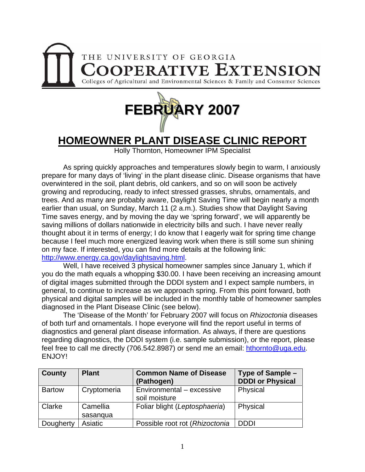



## **HOMEOWNER PLANT DISEASE CLINIC REPORT**

Holly Thornton, Homeowner IPM Specialist

 As spring quickly approaches and temperatures slowly begin to warm, I anxiously prepare for many days of 'living' in the plant disease clinic. Disease organisms that have overwintered in the soil, plant debris, old cankers, and so on will soon be actively growing and reproducing, ready to infect stressed grasses, shrubs, ornamentals, and trees. And as many are probably aware, Daylight Saving Time will begin nearly a month earlier than usual, on Sunday, March 11 (2 a.m.). Studies show that Daylight Saving Time saves energy, and by moving the day we 'spring forward', we will apparently be saving millions of dollars nationwide in electricity bills and such. I have never really thought about it in terms of energy; I do know that I eagerly wait for spring time change because I feel much more energized leaving work when there is still some sun shining on my face. If interested, you can find more details at the following link: <http://www.energy.ca.gov/daylightsaving.html>.

 Well, I have received 3 physical homeowner samples since January 1, which if you do the math equals a whopping \$30.00. I have been receiving an increasing amount of digital images submitted through the DDDI system and I expect sample numbers, in general, to continue to increase as we approach spring. From this point forward, both physical and digital samples will be included in the monthly table of homeowner samples diagnosed in the Plant Disease Clinic (see below).

 The 'Disease of the Month' for February 2007 will focus on *Rhizoctonia* diseases of both turf and ornamentals. I hope everyone will find the report useful in terms of diagnostics and general plant disease information. As always, if there are questions regarding diagnostics, the DDDI system (i.e. sample submission), or the report, please feel free to call me directly (706.542.8987) or send me an email: [hthornto@uga.edu](mailto:hthornto@uga.edu). ENJOY!

| <b>County</b> | <b>Plant</b>         | <b>Common Name of Disease</b><br>(Pathogen) | Type of Sample -<br><b>DDDI or Physical</b> |
|---------------|----------------------|---------------------------------------------|---------------------------------------------|
| <b>Bartow</b> | Cryptomeria          | Environmental - excessive<br>soil moisture  | Physical                                    |
| Clarke        | Camellia<br>sasangua | Foliar blight (Leptosphaeria)               | Physical                                    |
| Dougherty     | Asiatic              | Possible root rot (Rhizoctonia              | <b>DDDI</b>                                 |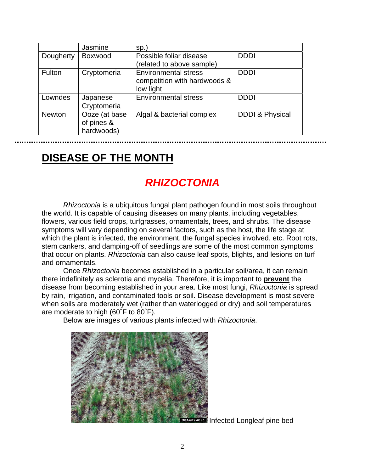|               | Jasmine                                   | Sp.                                                                 |                            |
|---------------|-------------------------------------------|---------------------------------------------------------------------|----------------------------|
| Dougherty     | <b>Boxwood</b>                            | Possible foliar disease<br>(related to above sample)                | <b>DDDI</b>                |
| Fulton        | Cryptomeria                               | Environmental stress -<br>competition with hardwoods &<br>low light | <b>DDDI</b>                |
| Lowndes       | Japanese<br>Cryptomeria                   | <b>Environmental stress</b>                                         | <b>DDDI</b>                |
| <b>Newton</b> | Ooze (at base<br>of pines &<br>hardwoods) | Algal & bacterial complex                                           | <b>DDDI &amp; Physical</b> |

## **DISEASE OF THE MONTH**

## *RHIZOCTONIA*

*Rhizoctonia* is a ubiquitous fungal plant pathogen found in most soils throughout the world. It is capable of causing diseases on many plants, including vegetables, flowers, various field crops, turfgrasses, ornamentals, trees, and shrubs. The disease symptoms will vary depending on several factors, such as the host, the life stage at which the plant is infected, the environment, the fungal species involved, etc. Root rots, stem cankers, and damping-off of seedlings are some of the most common symptoms that occur on plants. *Rhizoctonia* can also cause leaf spots, blights, and lesions on turf and ornamentals.

 Once *Rhizoctonia* becomes established in a particular soil/area, it can remain there indefinitely as sclerotia and mycelia. Therefore, it is important to **prevent** the disease from becoming established in your area. Like most fungi, *Rhizoctonia* is spread by rain, irrigation, and contaminated tools or soil. Disease development is most severe when soils are moderately wet (rather than waterlogged or dry) and soil temperatures are moderate to high (60˚F to 80˚F).

Below are images of various plants infected with *Rhizoctonia*.



UGA4824021 Infected Longleaf pine bed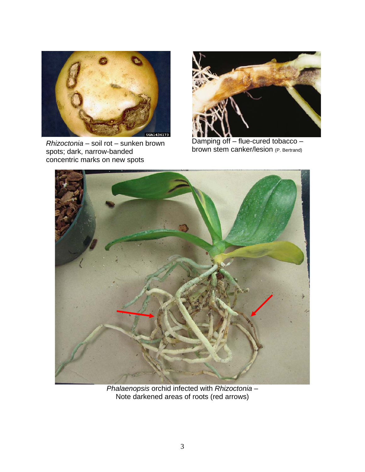

*Rhizoctonia* – soil rot – sunken brown spots; dark, narrow-banded concentric marks on new spots



 Damping off – flue-cured tobacco – brown stem canker/lesion (P. Bertrand)



*Phalaenopsis* orchid infected with *Rhizoctonia* – Note darkened areas of roots (red arrows)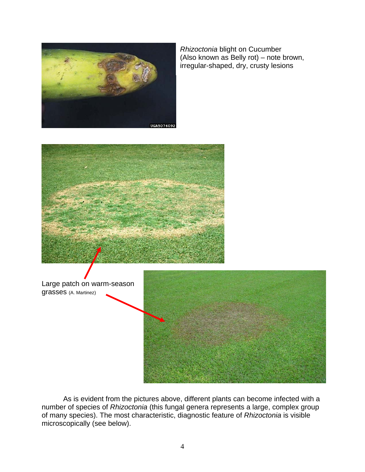

*Rhizoctonia* blight on Cucumber (Also known as Belly rot) – note brown, irregular-shaped, dry, crusty lesions



Large patch on warm-season grasses (A. Martinez)



 As is evident from the pictures above, different plants can become infected with a number of species of *Rhizoctonia* (this fungal genera represents a large, complex group of many species). The most characteristic, diagnostic feature of *Rhizoctonia* is visible microscopically (see below).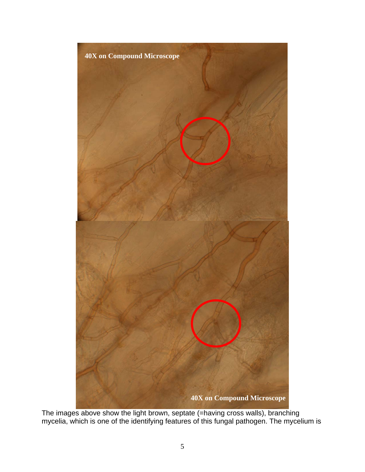

The images above show the light brown, septate (=having cross walls), branching mycelia, which is one of the identifying features of this fungal pathogen. The mycelium is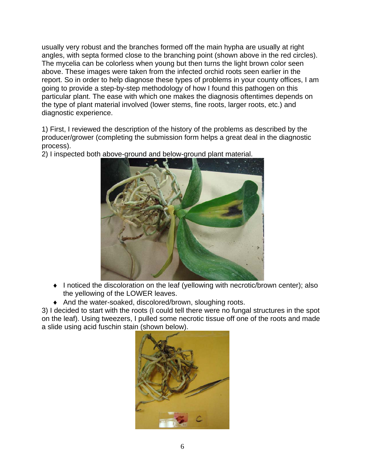usually very robust and the branches formed off the main hypha are usually at right angles, with septa formed close to the branching point (shown above in the red circles). The mycelia can be colorless when young but then turns the light brown color seen above. These images were taken from the infected orchid roots seen earlier in the report. So in order to help diagnose these types of problems in your county offices, I am going to provide a step-by-step methodology of how I found this pathogen on this particular plant. The ease with which one makes the diagnosis oftentimes depends on the type of plant material involved (lower stems, fine roots, larger roots, etc.) and diagnostic experience.

1) First, I reviewed the description of the history of the problems as described by the producer/grower (completing the submission form helps a great deal in the diagnostic process).



2) I inspected both above-ground and below-ground plant material.

- ♦ I noticed the discoloration on the leaf (yellowing with necrotic/brown center); also the yellowing of the LOWER leaves.
- ♦ And the water-soaked, discolored/brown, sloughing roots.

3) I decided to start with the roots (I could tell there were no fungal structures in the spot on the leaf). Using tweezers, I pulled some necrotic tissue off one of the roots and made a slide using acid fuschin stain (shown below).